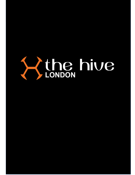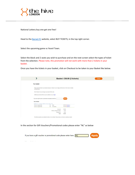

National Lottery buy one get one free!

Head to the **Barnet FC** website, select BUY TICKETS, in the top right corner.

Select the upcoming game vs Yeovil Town.

Select the block and 2 seats you wish to purchase and on the next screen select the types of ticket from the selection. Please note, this promotion will not work with more than 2 tickets in your basket.

Once you have the tickets in your basket, click on Checkout to be taken to your Basket like below.

|                                                                   |                                                                                                                      | <b>Basket: £36.00 (2 tickets)</b> |
|-------------------------------------------------------------------|----------------------------------------------------------------------------------------------------------------------|-----------------------------------|
| Your basket                                                       |                                                                                                                      |                                   |
| unwanted items.                                                   | Please check the items in your basket and press 'Continue' if you're happy with this order. Click 'remove' to delete |                                   |
| Click 'Continue' if you are happy to proceed with this order.     |                                                                                                                      |                                   |
| Additional promotional offers may be available once you login.    |                                                                                                                      |                                   |
| If you have a gift voucher or promotional code please enter here. |                                                                                                                      | <b>Apply</b>                      |
| <b>Your tickets</b>                                               |                                                                                                                      |                                   |
| BARNET FC v YEOVIL TOWN FC 02 Apr 2022 15:00                      |                                                                                                                      |                                   |
| Access to Legends Bar                                             | Adult<br>Q3                                                                                                          | £22.00 X remove                   |
| Access to Legends Bar                                             | Q4<br>Concession                                                                                                     | £14.00 X remove                   |
|                                                                   | Sub total:                                                                                                           | £36.00                            |
|                                                                   | Delivery charge (E-Ticket):                                                                                          | £0.00                             |
|                                                                   | Booking fee:                                                                                                         | £0.00                             |
|                                                                   | Total:                                                                                                               | £36.00                            |
|                                                                   |                                                                                                                      |                                   |
|                                                                   | The following options are available for delivery of your tickets. Please make your choice by selecting an option     |                                   |

In the section for Gift Vouchers/Promotional codes please enter "NL" as below



Service St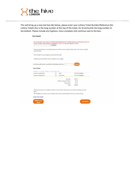

This will bring up a new text box like below, please enter your Lottery Ticket Number/Reference (for Lottery Tickets this is the long number at the top of the ticket, for Scratchcards the long number at the bottom. Please include any hyphens. Once complete click continue next to the box.

## Your basket

|                                                                                                                                     | Continue                                                                                                             |                 |
|-------------------------------------------------------------------------------------------------------------------------------------|----------------------------------------------------------------------------------------------------------------------|-----------------|
| unwanted items.                                                                                                                     | Please check the items in your basket and press 'Continue' if you're happy with this order. Click 'remove' to delete |                 |
| Click 'Continue' if you are happy to proceed with this order.                                                                       |                                                                                                                      |                 |
|                                                                                                                                     |                                                                                                                      |                 |
| Additional promotional offers may be available once you login.<br>If you have a gift voucher or promotional code please enter here. |                                                                                                                      | <b>Apply</b>    |
| <b>Your tickets</b><br>BARNET FC v YEOVIL TOWN FC 02 Apr 2022 15:00                                                                 |                                                                                                                      |                 |
| Access to Legends Bar                                                                                                               | Adult<br>Q <sub>3</sub>                                                                                              | £22.00 X remove |
|                                                                                                                                     | Q <sub>4</sub><br>Concession                                                                                         | £14.00 X remove |
|                                                                                                                                     | Sub total:                                                                                                           | £36.00          |
|                                                                                                                                     | Delivery charge (E-Ticket):                                                                                          | £0.00           |
| Access to Legends Bar                                                                                                               | Booking fee:                                                                                                         | £0.00           |

E-Ticket: For in person events, etickets will be sent by email. Bring them for entry on the event day.

Empty entire basket



| ontinu |  |
|--------|--|
|        |  |
|        |  |